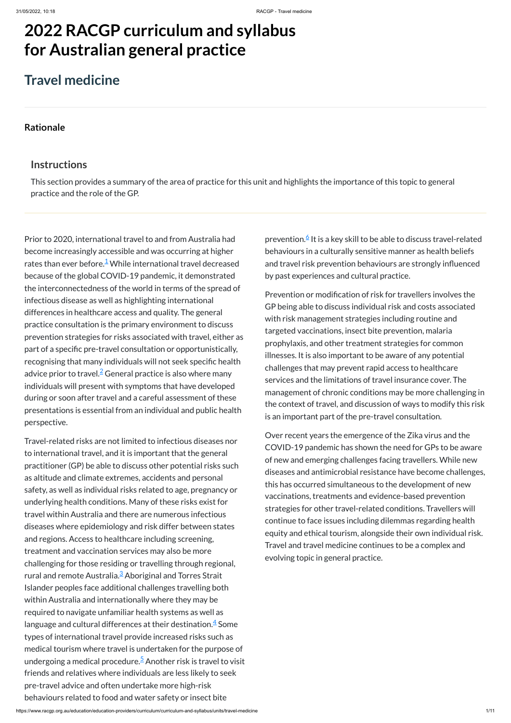# **2022 RACGP curriculum and syllabus for Australian [general practice](https://www.racgp.org.au/Curriculum-and-Syllabus/home)**

# **Travel medicine**

### **[Rationale](javascript:void(0))**

### **Instructions**

This section provides a summary of the area of practice for this unit and highlights the importance of this topic to general practice and the role of the GP.

Prior to 2020, international travel to and from Australia had become increasingly accessible and was occurring at higher rates than ever before. $^{\underline{1}}$  $^{\underline{1}}$  $^{\underline{1}}$  While international travel decreased because of the global COVID-19 pandemic, it demonstrated the interconnectedness of the world in terms of the spread of infectious disease as well as highlighting international differences in healthcare access and quality. The general practice consultation is the primary environment to discuss prevention strategies for risks associated with travel, either as part of a specific pre-travel consultation or opportunistically, recognising that many individuals will not seek specific health advice prior to travel. $\frac{2}{7}$  $\frac{2}{7}$  $\frac{2}{7}$  General practice is also where many individuals will present with symptoms that have developed during or soon after travel and a careful assessment of these presentations is essential from an individual and public health perspective.

prevention.[6](#page-1-5) It is a key skill to be able to discuss travel-related behaviours in a culturally sensitive manner as health beliefs and travel risk prevention behaviours are strongly influenced by past experiences and cultural practice.

Travel-related risks are not limited to infectious diseases nor to international travel, and it is important that the general practitioner (GP) be able to discuss other potential risks such as altitude and climate extremes, accidents and personal safety, as well as individual risks related to age, pregnancy or underlying health conditions. Many of these risks exist for travel within Australia and there are numerous infectious diseases where epidemiology and risk differ between states and regions. Access to healthcare including screening, treatment and vaccination services may also be more challenging for those residing or travelling through regional, rural and remote Australia.<sup>[3](#page-1-2)</sup> Aboriginal and Torres Strait Islander peoples face additional challenges travelling both within Australia and internationally where they may be required to navigate unfamiliar health systems as well as language and cultural differences at their destination. $\frac{4}{7}$  $\frac{4}{7}$  $\frac{4}{7}$  Some types of international travel provide increased risks such as medical tourism where travel is undertaken for the purpose of undergoing a medical procedure.<sup>[5](#page-1-4)</sup> Another risk is travel to visit friends and relatives where individuals are less likely to seek pre-travel advice and often undertake more high-risk behaviours related to food and water safety or insect bite

Prevention or modification of risk for travellers involves the GP being able to discuss individual risk and costs associated with risk management strategies including routine and targeted vaccinations, insect bite prevention, malaria prophylaxis, and other treatment strategies for common illnesses. It is also important to be aware of any potential challenges that may prevent rapid access to healthcare services and the limitations of travel insurance cover. The management of chronic conditions may be more challenging in the context of travel, and discussion of ways to modify this risk is an important part of the pre-travel consultation.

Over recent years the emergence of the Zika virus and the COVID-19 pandemic has shown the need for GPs to be aware of new and emerging challenges facing travellers. While new diseases and antimicrobial resistance have become challenges, this has occurred simultaneous to the development of new vaccinations, treatments and evidence-based prevention strategies for other travel-related conditions. Travellers will continue to face issues including dilemmas regarding health equity and ethical tourism, alongside their own individual risk.

Travel and travel medicine continues to be a complex and evolving topic in general practice.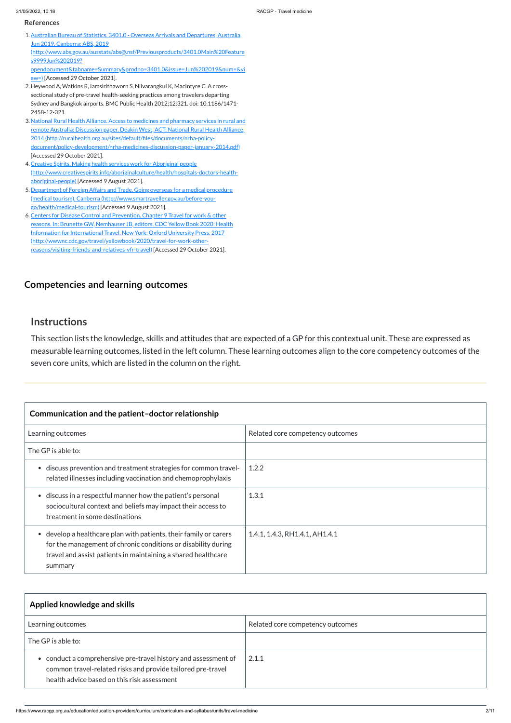https://www.racgp.org.au/education/education-providers/curriculum/curriculum-and-syllabus/units/travel-medicine 2/11

### **[Competencies and learning outcomes](javascript:void(0))**

### **Instructions**

This section lists the knowledge, skills and attitudes that are expected of a GP for this contextual unit. These are expressed as measurable learning outcomes, listed in the left column. These learning outcomes align to the core competency outcomes of the seven core units, which are listed in the column on the right.

<span id="page-1-0"></span>1. Australian Bureau of Statistics. 3401.0 - Overseas Arrivals and Departures, Australia, Jun 2019. Canberra: ABS, 2019

[opendocument&tabname=Summary&prodno=3401.0&issue=Jun%202019&num=&vi](http://www.abs.gov.au/ausstats/abs@.nsf/Previousproducts/3401.0Main%20Features9999Jun%202019?opendocument&tabname=Summary&prodno=3401.0&issue=Jun%202019&num=&view=) ew=) [Accessed 29 October 2021].

### **Communication and the patient–doctor relationship** Learning outcomes **Relative Core competency outcomes** The GP is able to: discuss prevention and treatment strategies for common travelrelated illnesses including vaccination and chemoprophylaxis 1.2.2 discuss in a respectful manner how the patient's personal sociocultural context and beliefs may impact their access to treatment in some destinations 1.3.1 develop a healthcare plan with patients, their family or carers for the management of chronic conditions or disability during 1.4.1, 1.4.3, RH1.4.1, AH1.4.1

| summary                                                       |
|---------------------------------------------------------------|
| travel and assist patients in maintaining a shared healthcare |
| TOF the management of em onic conditions or disability during |

<span id="page-1-2"></span>3. National Rural Health Alliance. Access to medicines and pharmacy services in rural and remote Australia: Discussion paper. Deakin West, ACT: National Rural Health Alliance, 2014 (http://ruralhealth.org.au/sites/default/files/documents/nrha-policy[document/policy-development/nrha-medicines-discussion-paper-january-2014.pdf\)](http://ruralhealth.org.au/sites/default/files/documents/nrha-policy-document/policy-development/nrha-medicines-discussion-paper-january-2014.pdf) [Accessed 29 October 2021].

- <span id="page-1-3"></span>4. Creative Spirits. Making health services work for Aboriginal people [\(http://www.creativespirits.info/aboriginalculture/health/hospitals-doctors-health](http://www.creativespirits.info/aboriginalculture/health/hospitals-doctors-health-aboriginal-people)aboriginal-people) [Accessed 9 August 2021].
- <span id="page-1-4"></span>5. Department of Foreign Affairs and Trade. Going overseas for a medical procedure (medical tourism). Canberra [\(http://www.smartraveller.gov.au/before-you](http://www.smartraveller.gov.au/before-you-go/health/medical-tourism)go/health/medical-tourism) [Accessed 9 August 2021].
- <span id="page-1-5"></span>6. Centers for Disease Control and Prevention. Chapter 9 Travel for work & other reasons. In: Brunette GW, Nemhauser JB, editors. CDC Yellow Book 2020: Health Information for International Travel. New York: Oxford University Press, 2017 [\(http://wwwnc.cdc.gov/travel/yellowbook/2020/travel-for-work-other](http://wwwnc.cdc.gov/travel/yellowbook/2020/travel-for-work-other-reasons/visiting-friends-and-relatives-vfr-travel)reasons/visiting-friends-and-relatives-vfr-travel) [Accessed 29 October 2021].

| Applied knowledge and skills                                                                                                                                                 |                                  |
|------------------------------------------------------------------------------------------------------------------------------------------------------------------------------|----------------------------------|
| Learning outcomes                                                                                                                                                            | Related core competency outcomes |
| The GP is able to:                                                                                                                                                           |                                  |
| • conduct a comprehensive pre-travel history and assessment of<br>common travel-related risks and provide tailored pre-travel<br>health advice based on this risk assessment | 2.1.1                            |

#### **References**

(http://www.abs.gov.au/ausstats/abs@.nsf/Previousproducts/3401.0Main%20Feature s9999Jun%202019?

<span id="page-1-1"></span>2. Heywood A, Watkins R, Iamsirithaworn S, Nilvarangkul K, MacIntyre C. A crosssectional study of pre-travel health-seeking practices among travelers departing Sydney and Bangkok airports. BMC Public Health 2012;12:321. doi: 10.1186/1471- 2458-12-321.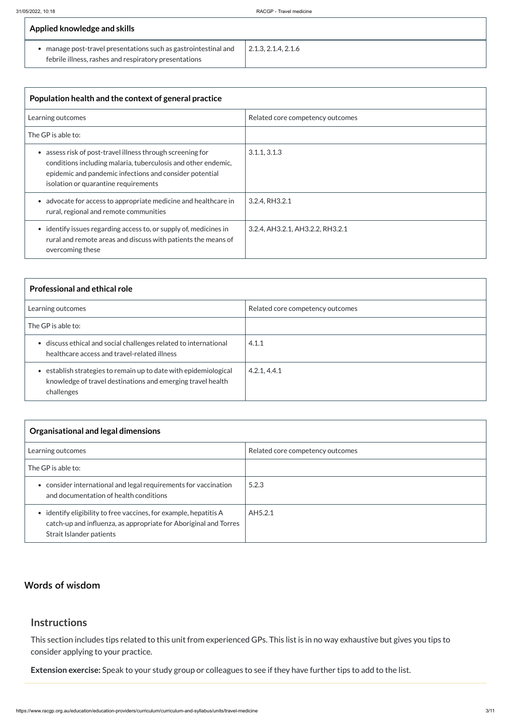| Applied knowledge and skills                                                                                           |                             |
|------------------------------------------------------------------------------------------------------------------------|-----------------------------|
| manage post-travel presentations such as gastrointestinal and<br>febrile illness, rashes and respiratory presentations | $\vert$ 2.1.3, 2.1.4, 2.1.6 |

| Population health and the context of general practice                                                                                                                                                                        |                                  |  |
|------------------------------------------------------------------------------------------------------------------------------------------------------------------------------------------------------------------------------|----------------------------------|--|
| Learning outcomes                                                                                                                                                                                                            | Related core competency outcomes |  |
| The GP is able to:                                                                                                                                                                                                           |                                  |  |
| assess risk of post-travel illness through screening for<br>conditions including malaria, tuberculosis and other endemic,<br>epidemic and pandemic infections and consider potential<br>isolation or quarantine requirements | 3.1.1, 3.1.3                     |  |
| advocate for access to appropriate medicine and healthcare in<br>rural, regional and remote communities                                                                                                                      | 3.2.4, RH3.2.1                   |  |
| • identify issues regarding access to, or supply of, medicines in<br>rural and remote areas and discuss with patients the means of<br>overcoming these                                                                       | 3.2.4, AH3.2.1, AH3.2.2, RH3.2.1 |  |

| <b>Professional and ethical role</b>                                                                                                          |                                  |
|-----------------------------------------------------------------------------------------------------------------------------------------------|----------------------------------|
| Learning outcomes                                                                                                                             | Related core competency outcomes |
| The GP is able to:                                                                                                                            |                                  |
| • discuss ethical and social challenges related to international<br>healthcare access and travel-related illness                              | 4.1.1                            |
| • establish strategies to remain up to date with epidemiological<br>knowledge of travel destinations and emerging travel health<br>challenges | 4.2.1, 4.4.1                     |

| <b>Organisational and legal dimensions</b>                                                                                                                        |                                  |
|-------------------------------------------------------------------------------------------------------------------------------------------------------------------|----------------------------------|
| Learning outcomes                                                                                                                                                 | Related core competency outcomes |
| The GP is able to:                                                                                                                                                |                                  |
| consider international and legal requirements for vaccination<br>and documentation of health conditions                                                           | 5.2.3                            |
| • identify eligibility to free vaccines, for example, hepatitis A<br>catch-up and influenza, as appropriate for Aboriginal and Torres<br>Strait Islander patients | AH5.2.1                          |

### **[Words of wisdom](javascript:void(0))**

### **Instructions**

This section includes tips related to this unit from experienced GPs. This list is in no way exhaustive but gives you tips to consider applying to your practice.

**Extension exercise:** Speak to your study group or colleagues to see if they have further tips to add to the list.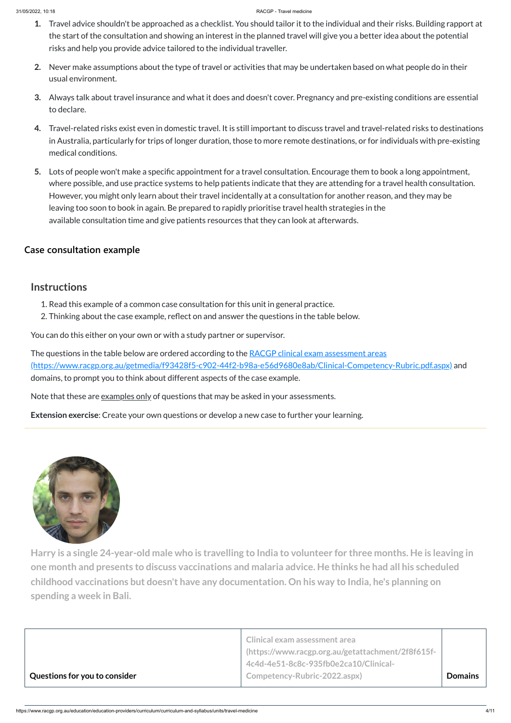#### 31/05/2022, 10:18 RACGP - Travel medicine

- **1.** Travel advice shouldn't be approached as a checklist. You should tailor it to the individual and their risks. Building rapport at the start of the consultation and showing an interest in the planned travel will give you a better idea about the potential risks and help you provide advice tailored to the individual traveller.
- **2.** Never make assumptions about the type of travel or activities that may be undertaken based on what people do in their usual environment.
- **3.** Always talk about travel insurance and what it does and doesn't cover. Pregnancy and pre-existing conditions are essential to declare.
- **4.** Travel-related risks exist even in domestic travel. It is still important to discuss travel and travel-related risks to destinations in Australia, particularly for trips of longer duration, those to more remote destinations, or for individuals with pre-existing medical conditions.
- **5.** Lots of people won't make a specific appointment for a travel consultation. Encourage them to book a long appointment, where possible, and use practice systems to help patients indicate that they are attending for a travel health consultation. However, you might only learn about their travel incidentally at a consultation for another reason, and they may be leaving too soon to book in again. Be prepared to rapidly prioritise travel health strategies in the available consultation time and give patients resources that they can look at afterwards.

The questions in the table below are ordered according to the RACGP clinical exam assessment areas [\(https://www.racgp.org.au/getmedia/f93428f5-c902-44f2-b98a-e56d9680e8ab/Clinical-Competency-Rubric.pdf.aspx\)](https://www.racgp.org.au/getmedia/f93428f5-c902-44f2-b98a-e56d9680e8ab/Clinical-Competency-Rubric.pdf.aspx) and domains, to prompt you to think about different aspects of the case example.

Note that these are <u>examples only</u> of questions that may be asked in your assessments.

Harry is a single 24-year-old male who is travelling to India to volunteer for three months. He is leaving in **one month and presents to discuss vaccinations and malaria advice. He thinks he had all his scheduled childhood vaccinations but doesn't have any documentation. On his way to India, he's planning on spending a week in Bali.**

### **[Case consultation example](javascript:void(0))**

### **Instructions**

- 1. Read this example of a common case consultation for this unit in general practice.
- 2. Thinking about the case example, reflect on and answer the questions in the table below.

You can do this either on your own or with a study partner or supervisor.

**Extension exercise**: Create your own questions or develop a new case to further your learning.



|                               | Clinical exam assessment area<br>https://www.racgp.org.au/getattachment/2f8f615f- |                |
|-------------------------------|-----------------------------------------------------------------------------------|----------------|
|                               | 4c4d-4e51-8c8c-935fb0e2ca10/Clinical-                                             |                |
| Questions for you to consider | Competency-Rubric-2022.aspx)                                                      | <b>Domains</b> |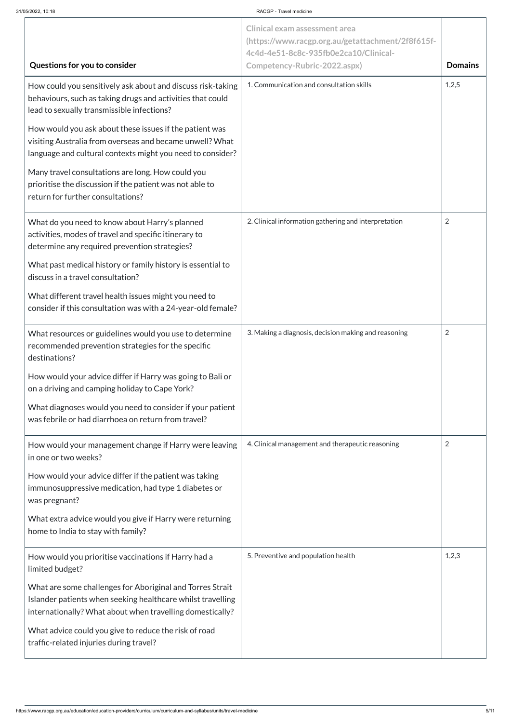#### 31/05/2022, 10:18 RACGP - Travel medicine

|                                                                                                                                                                                       | <b>Clinical exam assessment area</b><br>(https://www.racgp.org.au/getattachment/2f8f615f-<br>4c4d-4e51-8c8c-935fb0e2ca10/Clinical- |                |
|---------------------------------------------------------------------------------------------------------------------------------------------------------------------------------------|------------------------------------------------------------------------------------------------------------------------------------|----------------|
| Questions for you to consider                                                                                                                                                         | Competency-Rubric-2022.aspx)                                                                                                       | <b>Domains</b> |
| How could you sensitively ask about and discuss risk-taking<br>behaviours, such as taking drugs and activities that could<br>lead to sexually transmissible infections?               | 1. Communication and consultation skills                                                                                           | 1,2,5          |
| How would you ask about these issues if the patient was<br>visiting Australia from overseas and became unwell? What<br>language and cultural contexts might you need to consider?     |                                                                                                                                    |                |
| Many travel consultations are long. How could you<br>prioritise the discussion if the patient was not able to<br>return for further consultations?                                    |                                                                                                                                    |                |
| What do you need to know about Harry's planned<br>activities, modes of travel and specific itinerary to<br>determine any required prevention strategies?                              | 2. Clinical information gathering and interpretation                                                                               | $\overline{2}$ |
| What past medical history or family history is essential to<br>discuss in a travel consultation?                                                                                      |                                                                                                                                    |                |
| What different travel health issues might you need to<br>consider if this consultation was with a 24-year-old female?                                                                 |                                                                                                                                    |                |
| What resources or guidelines would you use to determine<br>recommended prevention strategies for the specific<br>destinations?                                                        | 3. Making a diagnosis, decision making and reasoning                                                                               | $\overline{2}$ |
| How would your advice differ if Harry was going to Bali or<br>on a driving and camping holiday to Cape York?                                                                          |                                                                                                                                    |                |
| What diagnoses would you need to consider if your patient<br>was febrile or had diarrhoea on return from travel?                                                                      |                                                                                                                                    |                |
| How would your management change if Harry were leaving<br>in one or two weeks?                                                                                                        | 4. Clinical management and therapeutic reasoning                                                                                   | 2              |
| How would your advice differ if the patient was taking<br>immunosuppressive medication, had type 1 diabetes or<br>was pregnant?                                                       |                                                                                                                                    |                |
| What extra advice would you give if Harry were returning<br>home to India to stay with family?                                                                                        |                                                                                                                                    |                |
| How would you prioritise vaccinations if Harry had a<br>limited budget?                                                                                                               | 5. Preventive and population health                                                                                                | 1,2,3          |
| What are some challenges for Aboriginal and Torres Strait<br>Islander patients when seeking healthcare whilst travelling<br>internationally? What about when travelling domestically? |                                                                                                                                    |                |
| What advice could you give to reduce the risk of road<br>traffic-related injuries during travel?                                                                                      |                                                                                                                                    |                |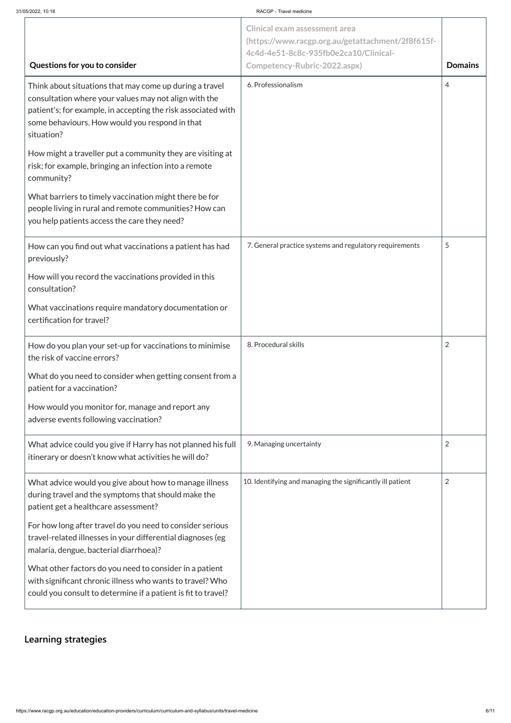#### 31/05/2022, 10:18 RACGP - Travel medicine

https://www.racgp.org.au/education/education-providers/curriculum/curriculum-and-syllabus/units/travel-medicine 6/11

| Questions for you to consider                                                                                                                                                                                                                     | <b>Clinical exam assessment area</b><br>(https://www.racgp.org.au/getattachment/2f8f615f-<br>4c4d-4e51-8c8c-935fb0e2ca10/Clinical-<br>Competency-Rubric-2022.aspx) | <b>Domains</b> |
|---------------------------------------------------------------------------------------------------------------------------------------------------------------------------------------------------------------------------------------------------|--------------------------------------------------------------------------------------------------------------------------------------------------------------------|----------------|
| Think about situations that may come up during a travel<br>consultation where your values may not align with the<br>patient's; for example, in accepting the risk associated with<br>some behaviours. How would you respond in that<br>situation? | 6. Professionalism                                                                                                                                                 | 4              |
| How might a traveller put a community they are visiting at<br>risk; for example, bringing an infection into a remote<br>community?                                                                                                                |                                                                                                                                                                    |                |
| What barriers to timely vaccination might there be for<br>people living in rural and remote communities? How can<br>you help patients access the care they need?                                                                                  |                                                                                                                                                                    |                |
| How can you find out what vaccinations a patient has had<br>previously?                                                                                                                                                                           | 7. General practice systems and regulatory requirements                                                                                                            | 5              |
| How will you record the vaccinations provided in this<br>consultation?                                                                                                                                                                            |                                                                                                                                                                    |                |
| What vaccinations require mandatory documentation or<br>certification for travel?                                                                                                                                                                 |                                                                                                                                                                    |                |
| How do you plan your set-up for vaccinations to minimise<br>the risk of vaccine errors?                                                                                                                                                           | 8. Procedural skills                                                                                                                                               | $\overline{2}$ |
| What do you need to consider when getting consent from a<br>patient for a vaccination?                                                                                                                                                            |                                                                                                                                                                    |                |
| How would you monitor for, manage and report any<br>adverse events following vaccination?                                                                                                                                                         |                                                                                                                                                                    |                |
| What advice could you give if Harry has not planned his full<br>itinerary or doesn't know what activities he will do?                                                                                                                             | 9. Managing uncertainty                                                                                                                                            | $\overline{2}$ |
| What advice would you give about how to manage illness<br>during travel and the symptoms that should make the<br>patient get a healthcare assessment?                                                                                             | 10. Identifying and managing the significantly ill patient                                                                                                         | $\overline{2}$ |
| For how long after travel do you need to consider serious<br>travel-related illnesses in your differential diagnoses (eg<br>malaria, dengue, bacterial diarrhoea)?                                                                                |                                                                                                                                                                    |                |
| What other factors do you need to consider in a patient<br>with significant chronic illness who wants to travel? Who<br>could you consult to determine if a patient is fit to travel?                                                             |                                                                                                                                                                    |                |

**[Learning strategies](javascript:void(0))**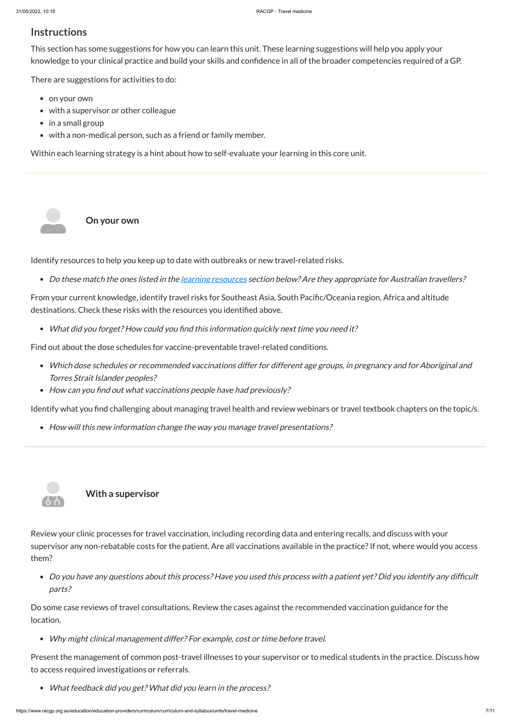### **Instructions**

This section has some suggestions for how you can learn this unit. These learning suggestions will help you apply your knowledge to your clinical practice and build your skills and confidence in all of the broader competencies required of a GP.

There are suggestions for activities to do:

- on your own
- with a supervisor or other colleague
- $\bullet$  in a small group

 $\mathbf{S}$ 

• with a non-medical person, such as a friend or family member.

- Which dose schedules or recommended vaccinations differ for different age groups, in pregnancy and for Aboriginal and Torres Strait Islander peoples?
- How can you find out what vaccinations people have had previously?

Within each learning strategy is a hint about how to self-evaluate your learning in this core unit.

**On your own**

Identify resources to help you keep up to date with outbreaks or new travel-related risks.

• Do these match the ones listed in the [learning](#page-9-0) resources section below? Are they appropriate for Australian travellers?

supervisor any non-rebatable costs for the patient. Are all vaccinations available in the practice? If not, where would you access them?

From your current knowledge, identify travel risks for Southeast Asia, South Pacific/Oceania region, Africa and altitude destinations. Check these risks with the resources you identified above.

What did you forget? How could you find this information quickly next time you need it?

Find out about the dose schedules for vaccine-preventable travel-related conditions.

Identify what you find challenging about managing travel health and review webinars or travel textbook chapters on the topic/s.

• How will this new information change the way you manage travel presentations?



**With a supervisor**

Review your clinic processes for travel vaccination, including recording data and entering recalls, and discuss with your

Do you have any questions about this process? Have you used this process with <sup>a</sup> patient yet? Did you identify any difficult parts?

Do some case reviews of travel consultations. Review the cases against the recommended vaccination guidance for the location.

Why might clinical management differ? For example, cost or time before travel.

Present the management of common post-travel illnesses to your supervisor or to medical students in the practice. Discuss how to access required investigations or referrals.

What feedback did you get? What did you learn in the process?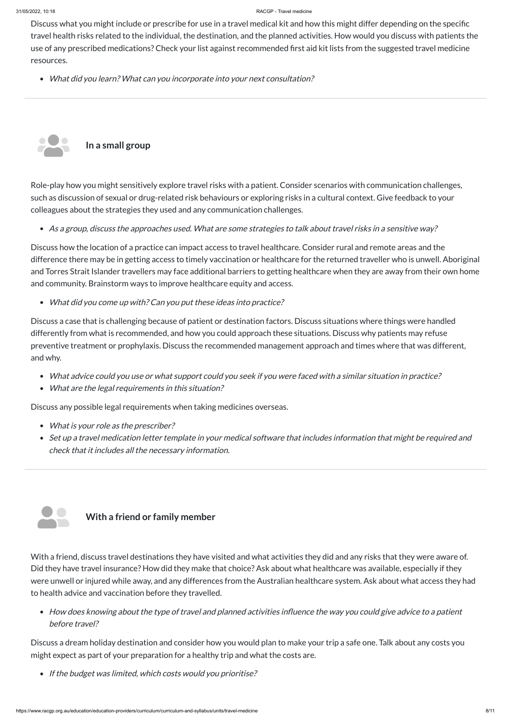Discuss what you might include or prescribe for use in a travel medical kit and how this might differ depending on the specific travel health risks related to the individual, the destination, and the planned activities. How would you discuss with patients the use of any prescribed medications? Check your list against recommended first aid kit lists from the suggested travel medicine resources.

What did you learn? What can you incorporate into your next consultation?

Role-play how you might sensitively explore travel risks with a patient. Consider scenarios with communication challenges, such as discussion of sexual or drug-related risk behaviours or exploring risks in a cultural context. Give feedback to your colleagues about the strategies they used and any communication challenges.

As <sup>a</sup> group, discuss the approaches used. What are some strategies to talk about travel risks in <sup>a</sup> sensitive way?

- What is your role as the prescriber?
- Set up <sup>a</sup> travel medication letter template in your medical software that includes information that might be required and check that it includes all the necessary information.



Discuss how the location of a practice can impact access to travel healthcare. Consider rural and remote areas and the difference there may be in getting access to timely vaccination or healthcare for the returned traveller who is unwell. Aboriginal and Torres Strait Islander travellers may face additional barriers to getting healthcare when they are away from their own home and community. Brainstorm ways to improve healthcare equity and access.

What did you come up with? Can you put these ideas into practice?

Discuss a case that is challenging because of patient or destination factors. Discuss situations where things were handled differently from what is recommended, and how you could approach these situations. Discuss why patients may refuse preventive treatment or prophylaxis. Discuss the recommended management approach and times where that was different, and why.



- What advice could you use or what support could you seek if you were faced with <sup>a</sup> similar situation in practice?
- What are the legal requirements in this situation?

Discuss any possible legal requirements when taking medicines overseas.

With a friend, discuss travel destinations they have visited and what activities they did and any risks that they were aware of. Did they have travel insurance? How did they make that choice? Ask about what healthcare was available, especially if they were unwell or injured while away, and any differences from the Australian healthcare system. Ask about what access they had to health advice and vaccination before they travelled.

How does knowing about the type of travel and planned activities influence the way you could give advice to <sup>a</sup> patient before travel?

Discuss a dream holiday destination and consider how you would plan to make your trip a safe one. Talk about any costs you might expect as part of your preparation for a healthy trip and what the costs are.

• If the budget was limited, which costs would you prioritise?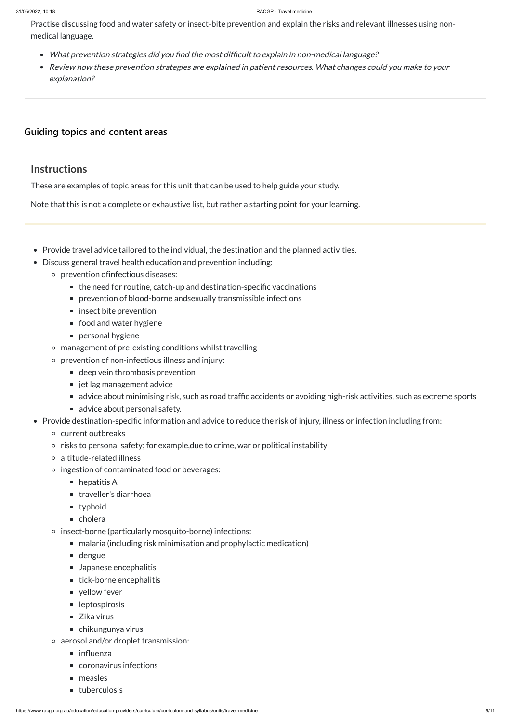Practise discussing food and water safety or insect-bite prevention and explain the risks and relevant illnesses using nonmedical language.

- Provide travel advice tailored to the individual, the destination and the planned activities.
- Discuss general travel health education and prevention including:
	- prevention ofinfectious diseases:
		- the need for routine, catch-up and destination-specific vaccinations
		- prevention of blood-borne andsexually transmissible infections
		- $\blacksquare$  insect bite prevention
		- food and water hygiene
		- **Parage 1** personal hygiene
	- management of pre-existing conditions whilst travelling
	- prevention of non-infectious illness and injury:
		- deep vein thrombosis prevention
		- jet lag management advice
		- advice about minimising risk, such as road traffic accidents or avoiding high-risk activities, such as extreme sports
		- advice about personal safety.
- Provide destination-specific information and advice to reduce the risk of injury, illness or infection including from:
	- current outbreaks
	- $\circ$  risks to personal safety; for example, due to crime, war or political instability
	- altitude-related illness
	- ingestion of contaminated food or beverages:
		- $\blacksquare$  hepatitis A
		- traveller's diarrhoea
		- **u** typhoid
		- cholera
	- insect-borne (particularly mosquito-borne) infections:
		- malaria (including risk minimisation and prophylactic medication)
		- dengue
		- **Japanese encephalitis**
		- $\blacksquare$  tick-borne encephalitis
		- vellow fever
		- **leptospirosis**
		- Zika virus
		- chikungunya virus
	- aerosol and/or droplet transmission:
		- $\blacksquare$  influenza
		- coronavirus infections
		- $\blacksquare$  measles

### uberculosis

- What prevention strategies did you find the most difficult to explain in non-medical language?
- Review how these prevention strategies are explained in patient resources. What changes could you make to your explanation?

### **[Guiding topics and content areas](javascript:void(0))**

### **Instructions**

These are examples of topic areas for this unit that can be used to help guide your study.

Note that this is not a complete or exhaustive list, but rather a starting point for your learning.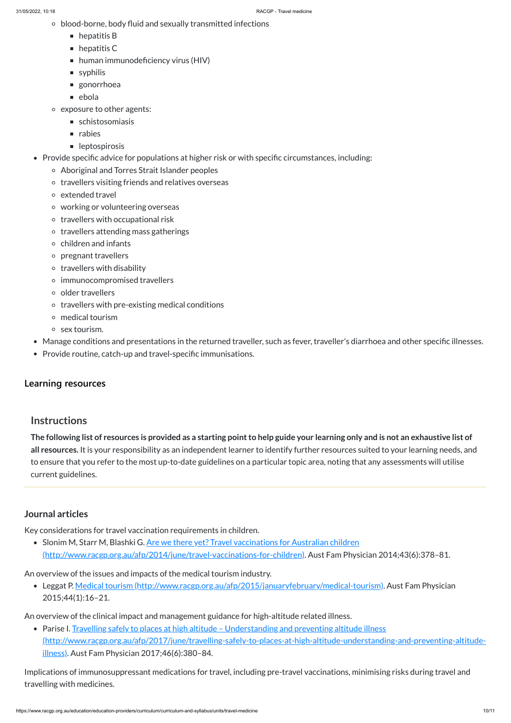- blood-borne, body fluid and sexually transmitted infections
	- $\blacksquare$  hepatitis B
	- $\blacksquare$  hepatitis C
	- human immunodeficiency virus (HIV)
	- syphilis
	- gonorrhoea
	- $\blacksquare$  ebola
- exposure to other agents:
	- schistosomiasis
	- $\blacksquare$  rabies
	- **leptospirosis**
- Provide specific advice for populations at higher risk or with specific circumstances, including:
	- Aboriginal and Torres Strait Islander peoples
	- o travellers visiting friends and relatives overseas
	- extended travel
	- working or volunteering overseas
	- $\circ$  travellers with occupational risk
	- $\circ$  travellers attending mass gatherings
	- $\circ$  children and infants
	- pregnant travellers
	- $\circ$  travellers with disability
	- immunocompromised travellers
	- o older travellers
	- $\circ$  travellers with pre-existing medical conditions
	- medical tourism
	- $\circ$  sex tourism.
- Manage conditions and presentations in the returned traveller, such as fever, traveller's diarrhoea and other specific illnesses.
- Provide routine, catch-up and travel-specific immunisations.

The following list of resources is provided as a starting point to help guide your learning only and is not an exhaustive list of **all resources.** It is your responsibility as an independent learner to identify further resources suited to your learning needs, and to ensure that you refer to the most up-to-date guidelines on a particular topic area, noting that any assessments will utilise current guidelines.

## **[Learning resources](javascript:void(0))**

# **Instructions**

• Parise I. Travelling safely to places at high altitude - Understanding and preventing altitude illness [\(http://www.racgp.org.au/afp/2017/june/travelling-safely-to-places-at-high-altitude-understanding-and-preventing-altitude](http://www.racgp.org.au/afp/2017/june/travelling-safely-to-places-at-high-altitude-understanding-and-preventing-altitude-illness)illness). Aust Fam Physician 2017;46(6):380–84.

### **Journal articles**

<span id="page-9-0"></span>Key considerations for travel vaccination requirements in children.

• Slonim M, Starr M, Blashki G. Are we there yet? Travel vaccinations for Australian children

[\(http://www.racgp.org.au/afp/2014/june/travel-vaccinations-for-children\).](http://www.racgp.org.au/afp/2014/june/travel-vaccinations-for-children) Aust Fam Physician 2014;43(6):378–81.

An overview of the issues and impacts of the medical tourism industry.

Leggat P. Medical tourism [\(http://www.racgp.org.au/afp/2015/januaryfebruary/medical-tourism\)](http://www.racgp.org.au/afp/2015/januaryfebruary/medical-tourism). Aust Fam Physician 2015;44(1):16–21.

An overview of the clinical impact and management guidance for high-altitude related illness.

Implications of immunosuppressant medications for travel, including pre-travel vaccinations, minimising risks during travel and travelling with medicines.